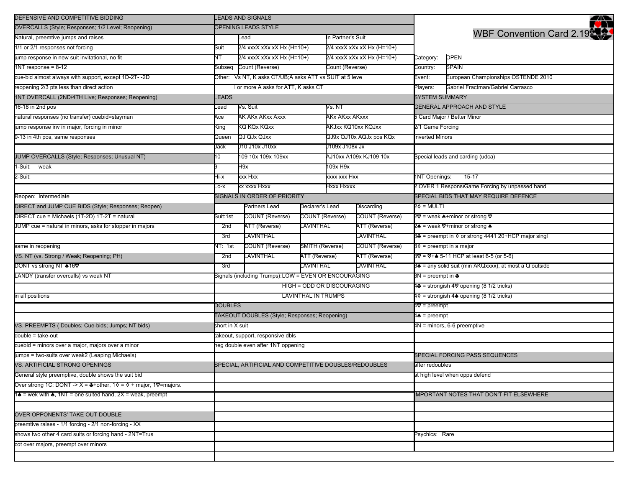| DEFENSIVE AND COMPETITIVE BIDDING                                                                          |                                                                                                  | <b>LEADS AND SIGNALS</b>                                |                 |                                                              |                               |                                                        | ペ                                              |  |
|------------------------------------------------------------------------------------------------------------|--------------------------------------------------------------------------------------------------|---------------------------------------------------------|-----------------|--------------------------------------------------------------|-------------------------------|--------------------------------------------------------|------------------------------------------------|--|
| OVERCALLS (Style; Responses; 1/2 Level; Reopening)                                                         |                                                                                                  | OPENING LEADS STYLE                                     |                 |                                                              |                               |                                                        |                                                |  |
| Natural, preemtive jumps and raises                                                                        |                                                                                                  | Lead                                                    |                 | In Partner's Suit                                            |                               | <b>WBF Convention Card 2.19</b>                        |                                                |  |
| 1/1 or 2/1 responses not forcing                                                                           | Suit                                                                                             | 2/4 xxxX xXx xX Hx (H=10+)                              |                 | 2/4 xxxX xXx xX Hx (H=10+)                                   |                               |                                                        |                                                |  |
| jump response in new suit invitational, no fit                                                             | NT                                                                                               | 2/4 xxxX xXx xX Hx (H=10+)                              |                 | 2/4 xxxX xXx xX Hx (H=10+)                                   |                               | Category:                                              | OPEN                                           |  |
| $1NT$ response = $8-12$                                                                                    | Subseq                                                                                           | Count (Reverse)                                         |                 | Count (Reverse)                                              |                               | Country:                                               | <b>SPAIN</b>                                   |  |
| cue-bid almost always with support, except 1D-2T--2D                                                       |                                                                                                  | Other: Vs NT, K asks CT/UB;A asks ATT vs SUIT at 5 leve |                 |                                                              |                               |                                                        | European Championships OSTENDE 2010            |  |
| reopening 2/3 pts less than direct action                                                                  |                                                                                                  | I or more A asks for ATT, K asks CT                     |                 |                                                              |                               |                                                        | Gabriel Fractman/Gabriel Carrasco              |  |
| 1NT OVERCALL (2ND/4TH Live; Responses; Reopening)                                                          | LEADS                                                                                            |                                                         |                 |                                                              |                               |                                                        | <b>SYSTEM SUMMARY</b>                          |  |
| 16-18 in 2nd pos                                                                                           | Lead                                                                                             | Vs. Suit                                                |                 | Vs. NT                                                       |                               |                                                        | <b>GENERAL APPROACH AND STYLE</b>              |  |
| hatural responses (no transfer) cuebid=stayman                                                             | Ace                                                                                              | AK AKx AKxx Axxx                                        |                 | AKx AKxx AKxxx                                               |                               | 5 Card Major / Better Minor                            |                                                |  |
| ump response inv in major, forcing in minor                                                                | King                                                                                             | KQ KQx KQxx                                             |                 | AKJxx KQ10xx KQJxx                                           |                               | 2/1 Game Forcing                                       |                                                |  |
| 9-13 in 4th pos, same responses                                                                            | Queen                                                                                            | QJ QJx QJxx                                             |                 | QJ9x QJ10x AQJx pos KQx<br>J109x J108x Jx                    |                               | nverted Minors                                         |                                                |  |
|                                                                                                            | Jack                                                                                             | J10 J10x J10xx                                          |                 |                                                              |                               |                                                        |                                                |  |
| JUMP OVERCALLS (Style; Responses; Unusual NT)                                                              | 10                                                                                               | 109 10x 109x 109xx                                      |                 | AJ10xx A109x KJ109 10x                                       |                               |                                                        | Special leads and carding (udca)               |  |
| 1-Suit: weak                                                                                               |                                                                                                  | H9x                                                     |                 | 109x H9x                                                     |                               |                                                        |                                                |  |
| 2-Suit:                                                                                                    | Hi-x                                                                                             | xxx Hxx                                                 | xxxx xxx Hxx    |                                                              |                               | 1NT Openings:                                          | $15-17$                                        |  |
|                                                                                                            | $-0-X$                                                                                           | xx xxxx Hxxx                                            |                 | Hxxx Hxxxx                                                   |                               |                                                        | 2 OVER 1 ResponstGame Forcing by unpassed hand |  |
| Reopen: Intermediate                                                                                       |                                                                                                  | SIGNALS IN ORDER OF PRIORITY                            |                 |                                                              |                               |                                                        | SPECIAL BIDS THAT MAY REQUIRE DEFENCE          |  |
| DIRECT and JUMP CUE BIDS (Style; Responses; Reopen)                                                        |                                                                                                  | Partners Lead                                           | Declarer's Lead | Discarding                                                   |                               | 2♦ = MULTI                                             |                                                |  |
| DIRECT cue = Michaels (1T-2D) 1T-2T = natural                                                              | Suit:1st                                                                                         | <b>COUNT (Reverse)</b>                                  | COUNT (Reverse) | COUNT (Reverse)                                              |                               |                                                        | 2♡ = weak ▲+minor or strong ♡                  |  |
| JUMP cue = natural in minors, asks for stopper in majors                                                   | LAVINTHAL<br><b>ATT (Reverse)</b><br>ATT (Reverse)<br>2nd<br><b>AVINTHAL</b><br>LAVINTHAL<br>3rd |                                                         |                 |                                                              | 2▲ = weak ♡+minor or strong ▲ |                                                        |                                                |  |
|                                                                                                            |                                                                                                  |                                                         |                 | 3♣ = preempt in $\diamond$ or strong 4441 20+HCP major singl |                               |                                                        |                                                |  |
| same in reopening                                                                                          | √T: 1st                                                                                          | <b>COUNT (Reverse)</b>                                  | SMITH (Reverse) |                                                              | <b>COUNT (Reverse)</b>        | $3\diamond$ = preempt in a major                       |                                                |  |
| VS. NT (vs. Strong / Weak; Reopening; PH)                                                                  | 2nd                                                                                              | LAVINTHAL                                               | ATT (Reverse)   |                                                              | ATT (Reverse)                 | 3♡ = ♡+▲ 5-11 HCP at least 6-5 (or 5-6)                |                                                |  |
| DONT vs strong NT ♠16♡                                                                                     | 3rd                                                                                              |                                                         | LAVINTHAL       |                                                              | LAVINTHAL                     | 3♠ = any solid suit (min AKQxxxx), at most a Q outside |                                                |  |
| LANDY (transfer overcalls) vs weak NT                                                                      |                                                                                                  | Signals (including Trumps):LOW = EVEN OR ENCOURAGING    |                 |                                                              |                               | $3N =$ preempt in $\clubsuit$                          |                                                |  |
|                                                                                                            |                                                                                                  | HIGH = ODD OR DISCOURAGING                              |                 |                                                              |                               | 4♣ = strongish 4♡ opening (8 1/2 tricks)               |                                                |  |
| in all positions                                                                                           |                                                                                                  | <b>LAVINTHAL IN TRUMPS</b>                              |                 |                                                              |                               |                                                        | 4 o = strongish 4 a opening (8 1/2 tricks)     |  |
|                                                                                                            |                                                                                                  | <b>DOUBLES</b>                                          |                 |                                                              |                               | 4♥ = preempt                                           |                                                |  |
|                                                                                                            |                                                                                                  | TAKEOUT DOUBLES (Style; Responses; Reopening)           |                 |                                                              |                               |                                                        | 4♠ = preempt                                   |  |
| VS. PREEMPTS (Doubles; Cue-bids; Jumps; NT bids)                                                           | short in X suit                                                                                  |                                                         |                 |                                                              |                               |                                                        | 4N = minors, 6-6 preemptive                    |  |
| double = take-out                                                                                          |                                                                                                  | takeout, support, responsive dbls                       |                 |                                                              |                               |                                                        |                                                |  |
| cuebid = minors over a major, majors over a minor                                                          |                                                                                                  | heg double even after 1NT oppening                      |                 |                                                              |                               |                                                        |                                                |  |
| umps = two-suits over weak2 (Leaping Michaels)                                                             |                                                                                                  |                                                         |                 |                                                              |                               |                                                        | SPECIAL FORCING PASS SEQUENCES                 |  |
| VS. ARTIFICIAL STRONG OPENINGS                                                                             | SPECIAL. ARTIFICIAL AND COMPETITIVE DOUBLES/REDOUBLES                                            |                                                         |                 |                                                              |                               |                                                        | after redoubles                                |  |
| General style preemptive, double shows the suit bid                                                        |                                                                                                  |                                                         |                 |                                                              |                               |                                                        | at high level when opps defend                 |  |
| Over strong 1C: DONT -> X = $\clubsuit$ +other, 1 $\lozenge$ = $\lozenge$ + major, 1 $\heartsuit$ =majors. |                                                                                                  |                                                         |                 |                                                              |                               |                                                        |                                                |  |
| $1\spadesuit$ = wek with $\spadesuit$ , 1NT = one suited hand, 2X = weak, preempt                          |                                                                                                  |                                                         |                 |                                                              |                               |                                                        | MPORTANT NOTES THAT DON'T FIT ELSEWHERE        |  |
|                                                                                                            |                                                                                                  |                                                         |                 |                                                              |                               |                                                        |                                                |  |
| OVER OPPONENTS' TAKE OUT DOUBLE                                                                            |                                                                                                  |                                                         |                 |                                                              |                               |                                                        |                                                |  |
| preemtive raises - 1/1 forcing - 2/1 non-forcing - XX                                                      |                                                                                                  |                                                         |                 |                                                              |                               |                                                        |                                                |  |
| shows two other 4 card suits or forcing hand - 2NT=Trus                                                    |                                                                                                  |                                                         |                 |                                                              |                               | Psychics: Rare                                         |                                                |  |
| cot over majors, preempt over minors                                                                       |                                                                                                  |                                                         |                 |                                                              |                               |                                                        |                                                |  |
|                                                                                                            |                                                                                                  |                                                         |                 |                                                              |                               |                                                        |                                                |  |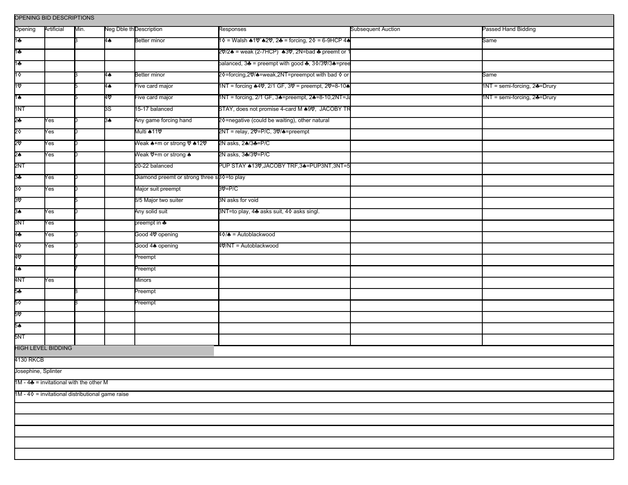| OPENING BID DESCRIPTIONS                           |                           |      |    |                                                        |                                                   |                           |                              |  |  |  |
|----------------------------------------------------|---------------------------|------|----|--------------------------------------------------------|---------------------------------------------------|---------------------------|------------------------------|--|--|--|
| Opening                                            | Artificial                | Min. |    | Neg Dble th Description                                | Responses                                         | <b>Subsequent Auction</b> | Passed Hand Bidding          |  |  |  |
| 1♣                                                 |                           |      | 4♠ | Better minor                                           | 1♦ = Walsh ♦1V`♦2V, 2♣ = forcing, 2♦ = 6-9HCP 4♦  |                           | Same                         |  |  |  |
| 1♣                                                 |                           |      |    |                                                        | 20/2▲ = weak (2-7HCP) 430, 2N=bad ♣ preemt or 1   |                           |                              |  |  |  |
| 1♣                                                 |                           |      |    |                                                        | balanced, 34 = preempt with good 4, 30/30/34=pree |                           |                              |  |  |  |
| 1♦                                                 |                           |      | 4♠ | Better minor                                           | 2♦=forcing,2V/▲=weak,2NT=preempot with bad ♦ or   |                           | Same                         |  |  |  |
| 1۳                                                 |                           |      | 4♠ | Five card major                                        | 1NT = forcing ▲4♡, 2/1 GF, 3♡ = preempt, 2♡=8-10▲ |                           | 1NT = semi-forcing, 24=Drury |  |  |  |
| 1♠                                                 |                           |      | 40 | Five card major                                        | 1NT = forcing, 2/1 GF, 34=preempt, 24=8-10,2NT=Ja |                           | 1NT = semi-forcing, 24=Drury |  |  |  |
| 1NT                                                |                           |      | 3S | 15-17 balanced                                         | STAY, does not promise 4-card M 49%, JACOBY TR    |                           |                              |  |  |  |
| 2♣                                                 | Yes                       |      | 3♠ | Any game forcing hand                                  | 20=negative (could be waiting), other natural     |                           |                              |  |  |  |
| 2♦                                                 | Yes                       |      |    | Multi <b>≜</b> 11♡                                     | 2NT = relay, 2♡=P/C, 3♡/▲=preempt                 |                           |                              |  |  |  |
| 2۵                                                 | Yes                       |      |    | Weak 4+m or strong ♡ 412♡                              | 2N asks, 24/34=P/C                                |                           |                              |  |  |  |
| 2♠                                                 | Yes                       |      |    | Weak ♡+m or strong ▲                                   | 2N asks, 3 <b>♣</b> /3♥=P/C                       |                           |                              |  |  |  |
| 2NT                                                |                           |      |    | 20-22 balanced                                         | PUP STAY +13V, JACOBY TRF, 3+=PUP3NT, 3NT=5       |                           |                              |  |  |  |
| 3♣                                                 | Yes                       |      |    | Diamond preemt or strong three s <sup>30=to</sup> play |                                                   |                           |                              |  |  |  |
| 3♦                                                 | Yes                       |      |    | Major suit preempt                                     | 30'=P/C                                           |                           |                              |  |  |  |
| ৪ত                                                 |                           |      |    | 6/5 Major two suiter                                   | 3N asks for void                                  |                           |                              |  |  |  |
| 3♠                                                 | Yes                       |      |    | Any solid suit                                         | 3NT=to play, 4♣ asks suit, 4♦ asks singl.         |                           |                              |  |  |  |
| 3NT                                                | Yes                       |      |    | preempt in ♣                                           |                                                   |                           |                              |  |  |  |
| 4♣                                                 | Yes                       |      |    | Good 4♡ opening                                        |                                                   |                           |                              |  |  |  |
| 4٥                                                 | Yes                       |      |    | Good 4▲ opening                                        | 4V/NT = Autoblackwood                             |                           |                              |  |  |  |
| 4⊽                                                 |                           |      |    | Preempt                                                |                                                   |                           |                              |  |  |  |
| 4♠                                                 |                           |      |    | Preempt                                                |                                                   |                           |                              |  |  |  |
| 4NT                                                | Yes                       |      |    | Minors                                                 |                                                   |                           |                              |  |  |  |
| 5♣                                                 |                           |      |    | Preempt                                                |                                                   |                           |                              |  |  |  |
| 5♦                                                 |                           |      |    | Preempt                                                |                                                   |                           |                              |  |  |  |
| 5ত                                                 |                           |      |    |                                                        |                                                   |                           |                              |  |  |  |
| 5♠                                                 |                           |      |    |                                                        |                                                   |                           |                              |  |  |  |
| 5NT                                                |                           |      |    |                                                        |                                                   |                           |                              |  |  |  |
|                                                    | <b>HIGH LEVEL BIDDING</b> |      |    |                                                        |                                                   |                           |                              |  |  |  |
| 4130 RKCB                                          |                           |      |    |                                                        |                                                   |                           |                              |  |  |  |
| Josephine, Splinter                                |                           |      |    |                                                        |                                                   |                           |                              |  |  |  |
| 1M - 4 $\clubsuit$ = invitational with the other M |                           |      |    |                                                        |                                                   |                           |                              |  |  |  |
| 1M - 4 0 = invitational distributional game raise  |                           |      |    |                                                        |                                                   |                           |                              |  |  |  |
|                                                    |                           |      |    |                                                        |                                                   |                           |                              |  |  |  |
|                                                    |                           |      |    |                                                        |                                                   |                           |                              |  |  |  |
|                                                    |                           |      |    |                                                        |                                                   |                           |                              |  |  |  |
|                                                    |                           |      |    |                                                        |                                                   |                           |                              |  |  |  |
|                                                    |                           |      |    |                                                        |                                                   |                           |                              |  |  |  |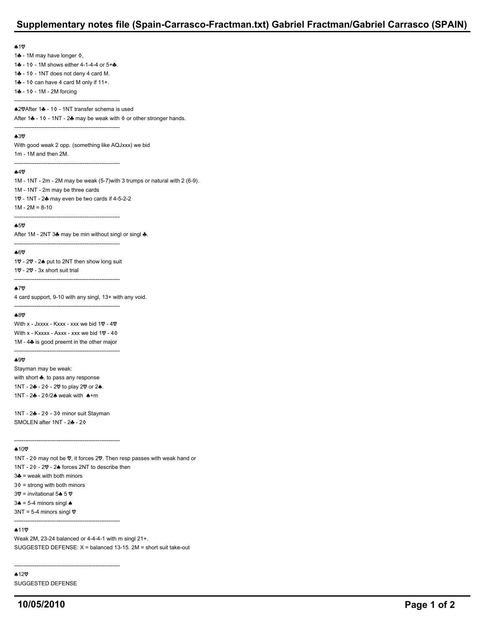# **Supplementary notes file (Spain-Carrasco-Fractman.txt) Gabriel Fractman/Gabriel Carrasco (SPAIN)**

#### $\triangle$ 10

14 - 1M may have longer  $\diamond$ , 1 - 1 0 - 1 M shows either 4-1-4-4 or 5+ ...  $14 - 10 - 1N$  does not deny 4 card M.

---------------------------------------------------------

---------------------------------------------------------

14 - 1 $\diamond$  can have 4 card M only if 11+.

1 - 1 0 - 1 M - 2 M forcing

---------------------------------------------------------

**42VAfter 14 - 10 - 1NT transfer schema is used** After 14 - 10 - 1NT - 24 may be weak with  $\diamond$  or other stronger hands.

## $43%$

With good weak 2 opp. (something like AQJxxx) we bid 1m - 1M and then 2M.

### $49$

1M - 1NT - 2m - 2M may be weak (5-7)with 3 trumps or natural with 2 (6-9).

1M - 1NT - 2m may be three cards

1 $\heartsuit$  - 1NT - 2 $\clubsuit$  may even be two cards if 4-5-2-2  $1M - 2M = 8-10$ 

---------------------------------------------------------

 $65%$ 

After 1M - 2NT 34 may be min without singl or singl  $\clubsuit$ .

#### $60$

10 - 20 - 24 put to 2NT then show long suit  $10 - 20 - 3x$  short suit trial

---------------------------------------------------------

---------------------------------------------------------

# $*7<sup>o</sup>$

4 card support, 9-10 with any singl, 13+ with any void.

#### $A8$

With x - Jxxxx - Kxxx - xxx we bid  $10 - 40$ With x - Kxxxx - Axxx - xxx we bid  $1\heartsuit$  - 4 $\diamond$  $1M - 4$  is good preemt in the other major

---------------------------------------------------------

---------------------------------------------------------

#### ሐ9♡

Stayman may be weak: with short  $\clubsuit$ , to pass any response 1NT - 24 - 20 - 20 to play 20 or 24. 1NT -  $2\clubsuit$  -  $2\lozenge/2\spadesuit$  weak with  $\spadesuit$ +m

1NT - 2♣ - 2♦ - 3♦ minor suit Stayman SMOLEN after 1NT -  $2 - 20$ 

---------------------------------------------------------

### $*10$

1NT - 20 may not be  $\heartsuit$ , it forces 2 $\heartsuit$ . Then resp passes with weak hand or 1NT -  $20 - 20$  -  $24$  forces 2NT to describe then  $3 - 3$  = weak with both minors  $3\diamond$  = strong with both minors 3 $\heartsuit$  = invitational 5 $\spadesuit$  5 $\heartsuit$  $3\spadesuit$  = 5-4 minors singl  $\spadesuit$ 

 $3NT = 5-4$  minors singl  $\heartsuit$ 

# $*11$

Weak 2M, 23-24 balanced or 4-4-4-1 with m singl 21+. SUGGESTED DEFENSE: X = balanced 13-15. 2M = short suit take-out

---------------------------------------------------------

---------------------------------------------------------

 $*12$ 

SUGGESTED DEFENSE